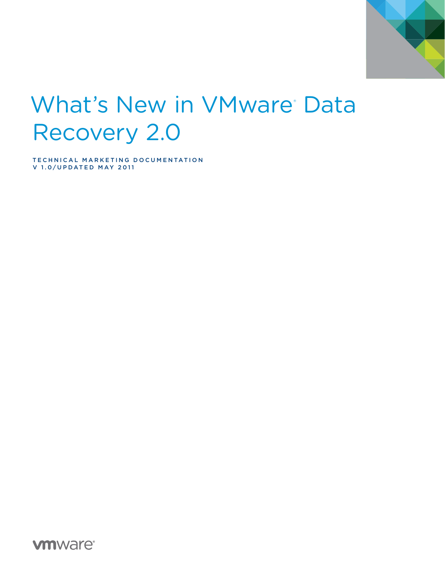

# What's New in VMware Data Recovery 2.0

TECHNICAL MARKETING DOCUMENTATION V 1.0/UPDATED MAY 2011

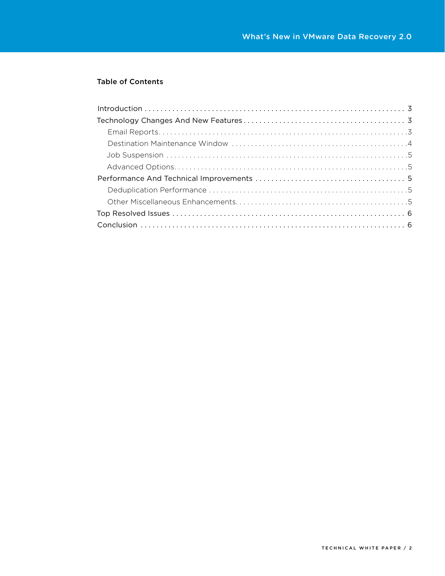### Table of Contents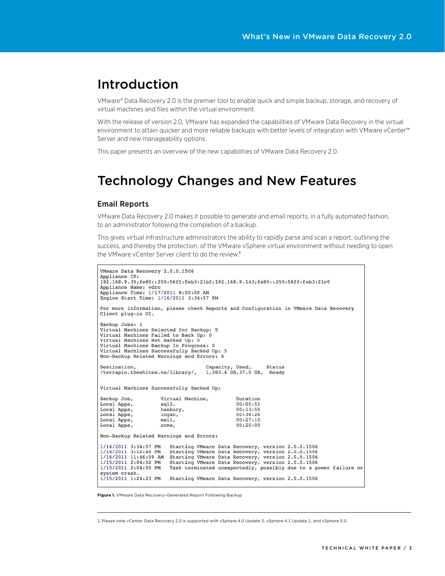## Introduction

VMware® Data Recovery 2.0 is the premier tool to enable quick and simple backup, storage, and recovery of virtual machines and files within the virtual environment.

With the release of version 2.0, VMware has expanded the capabilities of VMware Data Recovery in the virtual environment to attain quicker and more reliable backups with better levels of integration with VMware vCenter™ Server and new manageability options.

This paper presents an overview of the new capabilities of VMware Data Recovery 2.0.

## Technology Changes and New Features

#### Email Reports

VMware Data Recovery 2.0 makes it possible to generate and email reports, in a fully automated fashion, to an administrator following the completion of a backup.

This gives virtual infrastructure administrators the ability to rapidly parse and scan a report, outlining the success, and thereby the protection, of the VMware vSphere virtual environment without needing to open the VMware vCenter Server client to do the review.<sup>1</sup>

```
VMware Data Recovery 2.0.0.1506
Appliance IP:
192.168.9.35;fe80::250:56ff:feb3:21bf;192.168.9.143;fe80::250:56ff:feb3:21c0
Appliance Name: vdrc<br>Appliance Time: 1/17/2011 8:00:00 AM
Engine Start Time: 1/16/2011 3:34:57 PM
For more information, please check Reports and Configuration in VMware Data Recovery
Client plug-in UI.
Backup Jobs: 1
Virtual Machines Selected for Backup: 5
Virtual Machines Failed to Back Up: 0
Virtual Machines Not Backed Up: 0
Virtual Machines Backup In Progress: 0
Virtual Machines Successfully Backed Up: 5
Non-Backup Related Warnings and Errors: 6
Destination,
                                        Capacity, Used,
                                                              Status
/terrapin.thewhites.ca/library/, 1,383.4 GB,37.5 GB, Ready
Virtual Machines Successfully Backed Up:
Backup Job,
                      Virtual Machine,
                                                   Duration
                                                   00:05:51Local Apps,
                      sql2.Local Apps,
                     hanbury,
                                                   00:13:55Local Apps,
                      logan,
                                                   00:36:26main,
Local Apps,
                                                   00:27:10Local Apps,
                      srma,
                                                   00:25:00Non-Backup Related Warnings and Errors:
1/16/2011 3:34:57 PM Starting VMware Data Recovery, version 2.0.0.1506<br>1/16/2011 3:12:40 PM Starting VMware Data Recovery, version 2.0.0.1506
1/16/2011 11:46:59 AM Starting VMware Data Recovery, version 2.0.0.1506
1/15/2011 2:04:52 PM Starting VMware Data Recovery, version 2.0.0.1506<br>1/15/2011 2:04:50 PM Task terminated unexpectedly, possibly due to a power failure or
system crash.
1/15/2011 1:24:23 PM Starting VMware Data Recovery, version 2.0.0.1506
```
**Figure 1.** VMware Data Recovery–Generated Report Following Backup

1.Please note vCenter Data Recovery 2.0 is supported with vSphere 4.0 Update 3, vSphere 4.1 Update 1, and vSphere 5.0.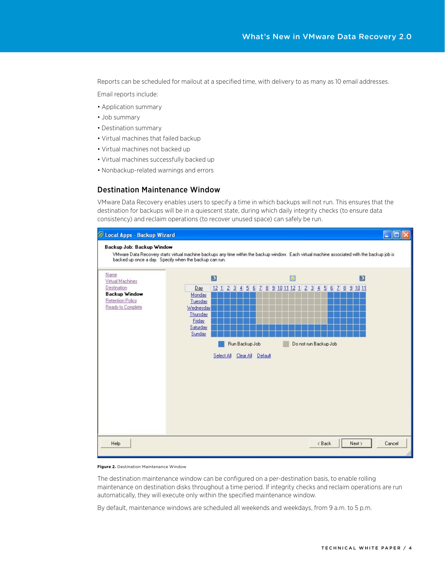Reports can be scheduled for mailout at a specified time, with delivery to as many as 10 email addresses.

Email reports include:

- • Application summary
- • Job summary
- • Destination summary
- • Virtual machines that failed backup
- • Virtual machines not backed up
- • Virtual machines successfully backed up
- • Nonbackup-related warnings and errors

#### Destination Maintenance Window

VMware Data Recovery enables users to specify a time in which backups will not run. This ensures that the destination for backups will be in a quiescent state, during which daily integrity checks (to ensure data consistency) and reclaim operations (to recover unused space) can safely be run.



**Figure 2.** Destination Maintenance Window

The destination maintenance window can be configured on a per-destination basis, to enable rolling maintenance on destination disks throughout a time period. If integrity checks and reclaim operations are run automatically, they will execute only within the specified maintenance window.

By default, maintenance windows are scheduled all weekends and weekdays, from 9 a.m. to 5 p.m.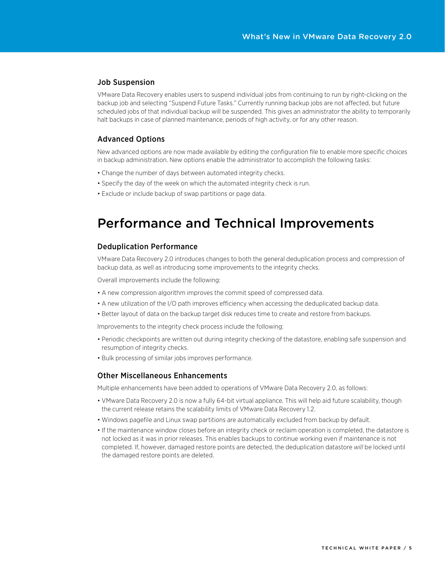#### Job Suspension

VMware Data Recovery enables users to suspend individual jobs from continuing to run by right-clicking on the backup job and selecting "Suspend Future Tasks." Currently running backup jobs are not affected, but future scheduled jobs of that individual backup will be suspended. This gives an administrator the ability to temporarily halt backups in case of planned maintenance, periods of high activity, or for any other reason.

#### Advanced Options

New advanced options are now made available by editing the configuration file to enable more specific choices in backup administration. New options enable the administrator to accomplish the following tasks:

- Change the number of days between automated integrity checks.
- Specify the day of the week on which the automated integrity check is run.
- Exclude or include backup of swap partitions or page data.

## Performance and Technical Improvements

#### Deduplication Performance

VMware Data Recovery 2.0 introduces changes to both the general deduplication process and compression of backup data, as well as introducing some improvements to the integrity checks.

Overall improvements include the following:

- A new compression algorithm improves the commit speed of compressed data.
- • A new utilization of the I/O path improves efficiency when accessing the deduplicated backup data.
- Better layout of data on the backup target disk reduces time to create and restore from backups.

Improvements to the integrity check process include the following:

- • Periodic checkpoints are written out during integrity checking of the datastore, enabling safe suspension and resumption of integrity checks.
- Bulk processing of similar jobs improves performance.

#### Other Miscellaneous Enhancements

Multiple enhancements have been added to operations of VMware Data Recovery 2.0, as follows:

- VMware Data Recovery 2.0 is now a fully 64-bit virtual appliance. This will help aid future scalability, though the current release retains the scalability limits of VMware Data Recovery 1.2.
- • Windows pagefile and Linux swap partitions are automatically excluded from backup by default.
- If the maintenance window closes before an integrity check or reclaim operation is completed, the datastore is not locked as it was in prior releases. This enables backups to continue working even if maintenance is not completed. If, however, damaged restore points are detected, the deduplication datastore *will* be locked until the damaged restore points are deleted.